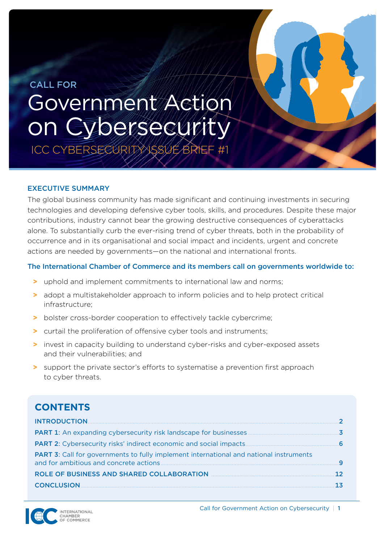# <span id="page-0-0"></span> CALL FOR Government Action on Cybersecurity

ICC CYBERSECURITY ISSUE BRIE

#### EXECUTIVE SUMMARY

The global business community has made significant and continuing investments in securing technologies and developing defensive cyber tools, skills, and procedures. Despite these major contributions, industry cannot bear the growing destructive consequences of cyberattacks alone. To substantially curb the ever-rising trend of cyber threats, both in the probability of occurrence and in its organisational and social impact and incidents, urgent and concrete actions are needed by governments—on the national and international fronts.

#### The International Chamber of Commerce and its members call on governments worldwide to:

- **>** uphold and implement commitments to international law and norms;
- **>** adopt a multistakeholder approach to inform policies and to help protect critical infrastructure;
- **>** bolster cross-border cooperation to effectively tackle cybercrime;
- **>** curtail the proliferation of offensive cyber tools and instruments;
- **>** invest in capacity building to understand cyber-risks and cyber-exposed assets and their vulnerabilities; and
- **>** support the private sector's efforts to systematise a prevention first approach to cyber threats.

# **CONTENTS**

| <b>INTRODUCTION</b>                                                                           |  |
|-----------------------------------------------------------------------------------------------|--|
|                                                                                               |  |
|                                                                                               |  |
| <b>PART 3:</b> Call for governments to fully implement international and national instruments |  |
| <b>ROLE OF BUSINESS AND SHARED COLLABORATION</b>                                              |  |
| <b>CONCLUSION</b>                                                                             |  |
|                                                                                               |  |

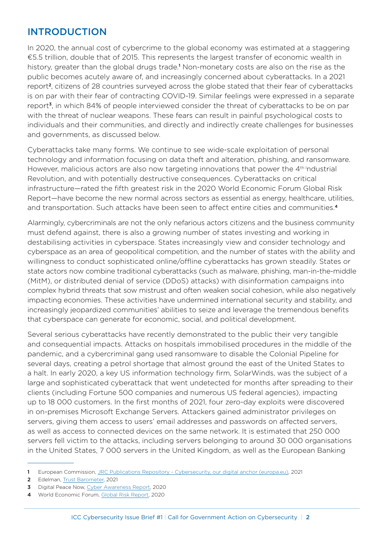## <span id="page-1-0"></span>INTRODUCTION

In 2020, the annual cost of cybercrime to the global economy was estimated at a staggering €5.5 trillion, double that of 2015. This represents the largest transfer of economic wealth in history, greater than the global drugs trade.<sup>1</sup> Non-monetary costs are also on the rise as the public becomes acutely aware of, and increasingly concerned about cyberattacks. In a 2021 report2, citizens of 28 countries surveyed across the globe stated that their fear of cyberattacks is on par with their fear of contracting COVID-19. Similar feelings were expressed in a separate report<sup>3</sup>, in which 84% of people interviewed consider the threat of cyberattacks to be on par with the threat of nuclear weapons. These fears can result in painful psychological costs to individuals and their communities, and directly and indirectly create challenges for businesses and governments, as discussed below.

Cyberattacks take many forms. We continue to see wide-scale exploitation of personal technology and information focusing on data theft and alteration, phishing, and ransomware. However, malicious actors are also now targeting innovations that power the  $4<sup>th</sup>$  ndustrial Revolution, and with potentially destructive consequences. Cyberattacks on critical infrastructure—rated the fifth greatest risk in the 2020 World Economic Forum Global Risk Report—have become the new normal across sectors as essential as energy, healthcare, utilities, and transportation. Such attacks have been seen to affect entire cities and communities.<sup>4</sup>

Alarmingly, cybercriminals are not the only nefarious actors citizens and the business community must defend against, there is also a growing number of states investing and working in destabilising activities in cyberspace. States increasingly view and consider technology and cyberspace as an area of geopolitical competition, and the number of states with the ability and willingness to conduct sophisticated online/offline cyberattacks has grown steadily. States or state actors now combine traditional cyberattacks (such as malware, phishing, man-in-the-middle (MitM), or distributed denial of service (DDoS) attacks) with disinformation campaigns into complex hybrid threats that sow mistrust and often weaken social cohesion, while also negatively impacting economies. These activities have undermined international security and stability, and increasingly jeopardized communities' abilities to seize and leverage the tremendous benefits that cyberspace can generate for economic, social, and political development.

Several serious cyberattacks have recently demonstrated to the public their very tangible and consequential impacts. Attacks on hospitals immobilised procedures in the middle of the pandemic, and a cybercriminal gang used ransomware to disable the Colonial Pipeline for several days, creating a petrol shortage that almost ground the east of the United States to a halt. In early 2020, a key US information technology firm, SolarWinds, was the subject of a large and sophisticated cyberattack that went undetected for months after spreading to their clients (including Fortune 500 companies and numerous US federal agencies), impacting up to 18 000 customers. In the first months of 2021, four zero-day exploits were discovered in on-premises Microsoft Exchange Servers. Attackers gained administrator privileges on servers, giving them access to users' email addresses and passwords on affected servers, as well as access to connected devices on the same network. It is estimated that 250 000 servers fell victim to the attacks, including servers belonging to around 30 000 organisations in the United States, 7 000 servers in the United Kingdom, as well as the European Banking

<sup>1</sup> European Commission, [JRC Publications Repository - Cybersecurity, our digital anchor \(europa.eu\)](https://publications.jrc.ec.europa.eu/repository/handle/JRC121051), 2021

<sup>2</sup> Edelman, [Trust Barometer,](https://www.edelman.com/sites/g/files/aatuss191/files/2021-03/2021%20Edelman%20Trust%20Barometer.pdf) 2021

<sup>3</sup> [Digital Peace Now, Cyber Awareness Report, 2020](https://digitalpeacenow.org/wp-content/uploads/DigitalPeaceNow_CyberAwarenessReport_2020-1.pdf)

<sup>4</sup> World Economic Forum, [Global Risk Report](http://www3.weforum.org/docs/WEF_Global_Risk_Report_2020.pdf), 2020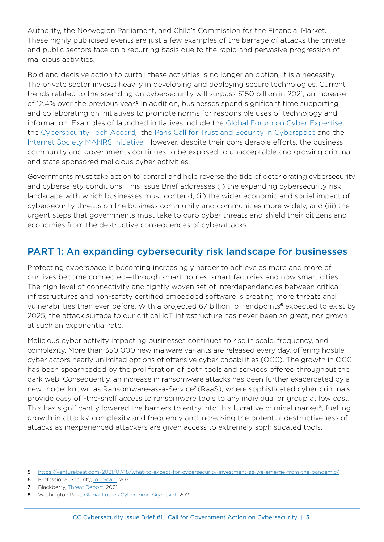<span id="page-2-0"></span>Authority, the Norwegian Parliament, and Chile's Commission for the Financial Market. These highly publicised events are just a few examples of the barrage of attacks the private and public sectors face on a recurring basis due to the rapid and pervasive progression of malicious activities.

Bold and decisive action to curtail these activities is no longer an option, it is a necessity. The private sector invests heavily in developing and deploying secure technologies. Current trends related to the spending on cybersecurity will surpass \$150 billion in 2021, an increase of 12.4% over the previous year.<sup>5</sup> In addition, businesses spend significant time supporting and collaborating on initiatives to promote norms for responsible uses of technology and information. Examples of launched initiatives include the [Global Forum on Cyber Expertise,](https://www.thegfce.com/) the [Cybersecurity Tech Accord,](https://cybertechaccord.org/) the [Paris Call for Trust and Security in Cyberspace](https://pariscall.international/en/) and the [Internet Society MANRS initiative](https://www.manrs.org/isps/join/). However, despite their considerable efforts, the business community and governments continues to be exposed to unacceptable and growing criminal and state sponsored malicious cyber activities.

Governments must take action to control and help reverse the tide of deteriorating cybersecurity and cybersafety conditions. This Issue Brief addresses (i) the expanding cybersecurity risk landscape with which businesses must contend, (ii) the wider economic and social impact of cybersecurity threats on the business community and communities more widely, and (iii) the urgent steps that governments must take to curb cyber threats and shield their citizens and economies from the destructive consequences of cyberattacks.

## PART 1: An expanding cybersecurity risk landscape for businesses

Protecting cyberspace is becoming increasingly harder to achieve as more and more of our lives become connected—through smart homes, smart factories and now smart cities. The high level of connectivity and tightly woven set of interdependencies between critical infrastructures and non-safety certified embedded software is creating more threats and vulnerabilities than ever before. With a projected 67 billion IoT endpoints<sup>6</sup> expected to exist by 2025, the attack surface to our critical IoT infrastructure has never been so great, nor grown at such an exponential rate.

Malicious cyber activity impacting businesses continues to rise in scale, frequency, and complexity. More than 350 000 new malware variants are released every day, offering hostile cyber actors nearly unlimited options of offensive cyber capabilities (OCC). The growth in OCC has been spearheaded by the proliferation of both tools and services offered throughout the dark web. Consequently, an increase in ransomware attacks has been further exacerbated by a new model known as Ransomware-as-a-Service<sup>7</sup> (RaaS), where sophisticated cyber criminals provide easy off-the-shelf access to ransomware tools to any individual or group at low cost. This has significantly lowered the barriers to entry into this lucrative criminal market<sup>8</sup>, fuelling growth in attacks' complexity and frequency and increasing the potential destructiveness of attacks as inexperienced attackers are given access to extremely sophisticated tools.

<sup>5</sup> <https://venturebeat.com/2021/07/18/what-to-expect-for-cybersecurity-investment-as-we-emerge-from-the-pandemic/>

<sup>6</sup> Professional Security, *IoT Scale*, 2021

<sup>7</sup> Blackberry, [Threat Report](https://www.blackberry.com/us/en/products/resource-center/reports/2021-threat-report), 2021

<sup>8</sup> Washington Post, [Global Losses Cybercrime Skyrocket,](https://www.washingtonpost.com/politics/2020/12/07/cybersecurity-202-global-losses-cybercrime-skyrocketed-nearly-1-trillion-2020/) 2021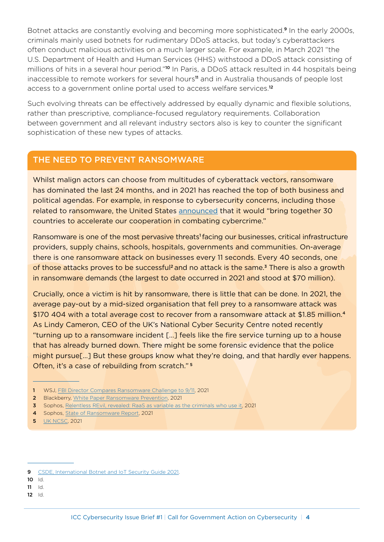Botnet attacks are constantly evolving and becoming more sophisticated.<sup>9</sup> In the early 2000s, criminals mainly used botnets for rudimentary DDoS attacks, but today's cyberattackers often conduct malicious activities on a much larger scale. For example, in March 2021 "the U.S. Department of Health and Human Services (HHS) withstood a DDoS attack consisting of millions of hits in a several hour period."<sup>10</sup> In Paris, a DDoS attack resulted in 44 hospitals being inaccessible to remote workers for several hours<sup>11</sup> and in Australia thousands of people lost access to a government online portal used to access welfare services.<sup>12</sup>

Such evolving threats can be effectively addressed by equally dynamic and flexible solutions, rather than prescriptive, compliance-focused regulatory requirements. Collaboration between government and all relevant industry sectors also is key to counter the significant sophistication of these new types of attacks.

#### THE NEED TO PREVENT RANSOMWARE

Whilst malign actors can choose from multitudes of cyberattack vectors, ransomware has dominated the last 24 months, and in 2021 has reached the top of both business and political agendas. For example, in response to cybersecurity concerns, including those related to ransomware, the United States [announced](https://www.whitehouse.gov/briefing-room/statements-releases/2021/10/01/statement-by-president-joe-biden-on-cybersecurity-awareness-month/) that it would "bring together 30 countries to accelerate our cooperation in combating cybercrime."

Ransomware is one of the most pervasive threats<sup>1</sup> facing our businesses, critical infrastructure providers, supply chains, schools, hospitals, governments and communities. On-average there is one ransomware attack on businesses every 11 seconds. Every 40 seconds, one of those attacks proves to be successful<sup>2</sup> and no attack is the same.<sup>3</sup> There is also a growth in ransomware demands (the largest to date occurred in 2021 and stood at \$70 million).

Crucially, once a victim is hit by ransomware, there is little that can be done. In 2021, the average pay-out by a mid-sized organisation that fell prey to a ransomware attack was \$170 404 with a total average cost to recover from a ransomware attack at \$1.85 million.<sup>4</sup> As Lindy Cameron, CEO of the UK's National Cyber Security Centre noted recently "turning up to a ransomware incident […] feels like the fire service turning up to a house that has already burned down. There might be some forensic evidence that the police might pursue[…] But these groups know what they're doing, and that hardly ever happens. Often, it's a case of rebuilding from scratch." <sup>5</sup>

- 1 WSJ, [FBI Director Compares Ransomware Challenge to 9/11,](https://www.wsj.com/articles/fbi-director-compares-ransomware-challenge-to-9-11-11622799003) 2021
- 2 Blackberry, [White Paper Ransomware Prevention](https://www.blackberry.com/content/dam/bbcomv4/blackberry-com/en/products/resource-center/white-papers/RansomwarePreventionIsPossible.pdf), 2021
- 3 Sophos, [Relentless REvil, revealed: RaaS as variable as the criminals who use it](https://news.sophos.com/en-us/2021/06/11/relentless-revil-revealed/), 2021
- 4 Sophos, [State of Ransomware Report](https://www.sophos.com/en-us/medialibrary/pdfs/whitepaper/sophos-state-of-ransomware-2021-wp.pdf?cmp=120469), 2021
- **5** [UK NCSC](https://www.ncsc.gov.uk/speech/rusi-lecture), 2021

- 10 Id.
- 11 Id.
- 12 Id.

<sup>9</sup> [CSDE, International Botnet and IoT Security Guide 2021](https://securingdigitaleconomy.org/wp-content/uploads/2021/03/CSDE-2021-Botnet-Report-March-24-2021.pdf).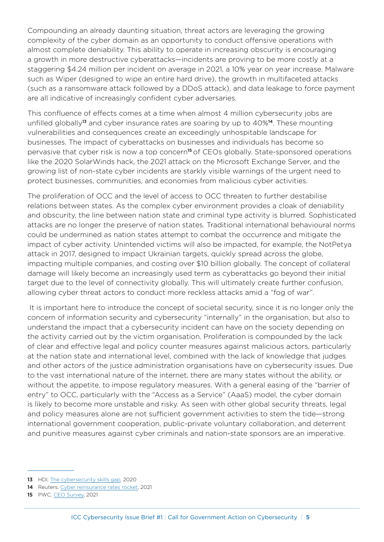Compounding an already daunting situation, threat actors are leveraging the growing complexity of the cyber domain as an opportunity to conduct offensive operations with almost complete deniability. This ability to operate in increasing obscurity is encouraging a growth in more destructive cyberattacks—incidents are proving to be more costly at a staggering \$4.24 million per incident on average in 2021, a 10% year on year increase. Malware such as Wiper (designed to wipe an entire hard drive), the growth in multifaceted attacks (such as a ransomware attack followed by a DDoS attack), and data leakage to force payment are all indicative of increasingly confident cyber adversaries.

This confluence of effects comes at a time when almost 4 million cybersecurity jobs are unfilled globally<sup>13</sup> and cyber insurance rates are soaring by up to 40%<sup>14</sup>. These mounting vulnerabilities and consequences create an exceedingly unhospitable landscape for businesses. The impact of cyberattacks on businesses and individuals has become so pervasive that cyber risk is now a top concern<sup>15</sup> of CEOs globally. State-sponsored operations like the 2020 SolarWinds hack, the 2021 attack on the Microsoft Exchange Server, and the growing list of non-state cyber incidents are starkly visible warnings of the urgent need to protect businesses, communities, and economies from malicious cyber activities.

The proliferation of OCC and the level of access to OCC threaten to further destabilise relations between states. As the complex cyber environment provides a cloak of deniability and obscurity, the line between nation state and criminal type activity is blurred. Sophisticated attacks are no longer the preserve of nation states. Traditional international behavioural norms could be undermined as nation states attempt to combat the occurrence and mitigate the impact of cyber activity. Unintended victims will also be impacted, for example, the NotPetya attack in 2017, designed to impact Ukrainian targets, quickly spread across the globe, impacting multiple companies, and costing over \$10 billion globally. The concept of collateral damage will likely become an increasingly used term as cyberattacks go beyond their initial target due to the level of connectivity globally. This will ultimately create further confusion, allowing cyber threat actors to conduct more reckless attacks amid a "fog of war".

 It is important here to introduce the concept of societal security, since it is no longer only the concern of information security and cybersecurity "internally" in the organisation, but also to understand the impact that a cybersecurity incident can have on the society depending on the activity carried out by the victim organisation. Proliferation is compounded by the lack of clear and effective legal and policy counter measures against malicious actors, particularly at the nation state and international level, combined with the lack of knowledge that judges and other actors of the justice administration organisations have on cybersecurity issues. Due to the vast international nature of the internet, there are many states without the ability, or without the appetite, to impose regulatory measures. With a general easing of the "barrier of entry" to OCC, particularly with the "Access as a Service" (AaaS) model, the cyber domain is likely to become more unstable and risky. As seen with other global security threats, legal and policy measures alone are not sufficient government activities to stem the tide—strong international government cooperation, public-private voluntary collaboration, and deterrent and punitive measures against cyber criminals and nation-state sponsors are an imperative.

<sup>13</sup> HDI, [The cybersecurity skills gap,](https://www.hdi.global/infocenter/insights/2020/cyber-skills-gap/) 2020

<sup>14</sup> Reuters, [Cyber reinsurance rates rocket,](https://www.reuters.com/technology/cyber-reinsurance-rates-rocket-july-renewals-willis-re-2021-07-01/) 2021

<sup>15</sup> PWC, [CEO Survey,](https://www.pwc.com/gx/en/ceo-agenda/ceosurvey/2021.html) 2021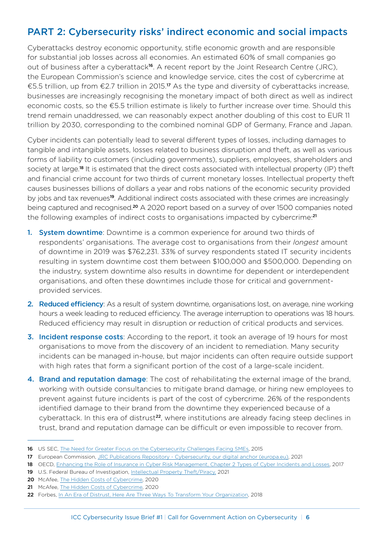# <span id="page-5-0"></span>PART 2: Cybersecurity risks' indirect economic and social impacts

Cyberattacks destroy economic opportunity, stifle economic growth and are responsible for substantial job losses across all economies. An estimated 60% of small companies go out of business after a cyberattack<sup>16</sup>. A recent report by the Joint Research Centre (JRC), the European Commission's science and knowledge service, cites the cost of cybercrime at €5.5 trillion, up from €2.7 trillion in 2015.17 As the type and diversity of cyberattacks increase, businesses are increasingly recognising the monetary impact of both direct as well as indirect economic costs, so the €5.5 trillion estimate is likely to further increase over time. Should this trend remain unaddressed, we can reasonably expect another doubling of this cost to EUR 11 trillion by 2030, corresponding to the combined nominal GDP of Germany, France and Japan.

Cyber incidents can potentially lead to several different types of losses, including damages to tangible and intangible assets, losses related to business disruption and theft, as well as various forms of liability to customers (including governments), suppliers, employees, shareholders and society at large.<sup>18</sup> It is estimated that the direct costs associated with intellectual property (IP) theft and financial crime account for two thirds of current monetary losses. Intellectual property theft causes businesses billions of dollars a year and robs nations of the economic security provided by jobs and tax revenues<sup>19</sup>. Additional indirect costs associated with these crimes are increasingly being captured and recognised.20 A 2020 report based on a survey of over 1500 companies noted the following examples of indirect costs to organisations impacted by cybercrime:<sup>21</sup>

- 1. System downtime: Downtime is a common experience for around two thirds of respondents' organisations. The average cost to organisations from their *longest* amount of downtime in 2019 was \$762,231. 33% of survey respondents stated IT security incidents resulting in system downtime cost them between \$100,000 and \$500,000. Depending on the industry, system downtime also results in downtime for dependent or interdependent organisations, and often these downtimes include those for critical and governmentprovided services.
- 2. Reduced efficiency: As a result of system downtime, organisations lost, on average, nine working hours a week leading to reduced efficiency. The average interruption to operations was 18 hours. Reduced efficiency may result in disruption or reduction of critical products and services.
- 3. Incident response costs: According to the report, it took an average of 19 hours for most organisations to move from the discovery of an incident to remediation. Many security incidents can be managed in-house, but major incidents can often require outside support with high rates that form a significant portion of the cost of a large-scale incident.
- 4. Brand and reputation damage: The cost of rehabilitating the external image of the brand, working with outside consultancies to mitigate brand damage, or hiring new employees to prevent against future incidents is part of the cost of cybercrime. 26% of the respondents identified damage to their brand from the downtime they experienced because of a cyberattack. In this era of distrust<sup>22</sup>, where institutions are already facing steep declines in trust, brand and reputation damage can be difficult or even impossible to recover from.

<sup>16</sup> US SEC, [The Need for Greater Focus on the Cybersecurity Challenges Facing SMEs,](https://www.sec.gov/news/statement/cybersecurity-challenges-for-small-midsize-businesses.html) 2015

<sup>17</sup> European Commission, [JRC Publications Repository - Cybersecurity, our digital anchor \(europa.eu\)](https://publications.jrc.ec.europa.eu/repository/handle/JRC121051), 2021

<sup>18</sup> OECD, [Enhancing the Role of Insurance in Cyber Risk Management, Chapter 2 Types of Cyber Incidents and Losses](https://www.oecd-ilibrary.org/docserver/9789264282148-4-en.pdf?expires=1622842869&id=id&accname=guest&checksum=ADCB9929A3DC353CA780FFA53666A30B), 2017

<sup>19</sup> U.S. Federal Bureau of Investigation, [Intellectual Property Theft/Piracy,](https://www.fbi.gov/investigate/white-collar-crime/piracy-ip-theft) 2021

<sup>20</sup> McAfee, [The Hidden Costs of Cybercrime,](https://www.mcafee.com/enterprise/en-us/about/newsroom/press-releases/press-release.html?news_id=6859bd8c-9304-4147-bdab-32b35457e629) 2020

<sup>21</sup> McAfee, [The Hidden Costs of Cybercrime,](https://www.mcafee.com/enterprise/en-us/about/newsroom/press-releases/press-release.html?news_id=6859bd8c-9304-4147-bdab-32b35457e629) 2020

<sup>22</sup> Forbes, [In An Era of Distrust, Here Are Three Ways To Transform Your Organization,](https://www.forbes.com/sites/richlyons/2018/03/15/in-an-era-of-distrust-here-are-three-ways-to-transform-your-organization/?sh=3f6ecefafe12) 2018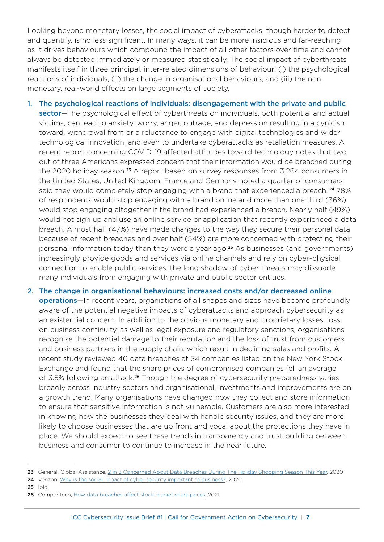Looking beyond monetary losses, the social impact of cyberattacks, though harder to detect and quantify, is no less significant. In many ways, it can be more insidious and far-reaching as it drives behaviours which compound the impact of all other factors over time and cannot always be detected immediately or measured statistically. The social impact of cyberthreats manifests itself in three principal, inter-related dimensions of behaviour: (i) the psychological reactions of individuals, (ii) the change in organisational behaviours, and (iii) the nonmonetary, real-world effects on large segments of society.

- 1. The psychological reactions of individuals: disengagement with the private and public sector—The psychological effect of cyberthreats on individuals, both potential and actual victims, can lead to anxiety, worry, anger, outrage, and depression resulting in a cynicism toward, withdrawal from or a reluctance to engage with digital technologies and wider technological innovation, and even to undertake cyberattacks as retaliation measures. A recent report concerning COVID-19 affected attitudes toward technology notes that two out of three Americans expressed concern that their information would be breached during the 2020 holiday season.<sup>23</sup> A report based on survey responses from 3,264 consumers in the United States, United Kingdom, France and Germany noted a quarter of consumers said they would completely stop engaging with a brand that experienced a breach.<sup>24</sup> 78% of respondents would stop engaging with a brand online and more than one third (36%) would stop engaging altogether if the brand had experienced a breach. Nearly half (49%) would not sign up and use an online service or application that recently experienced a data breach. Almost half (47%) have made changes to the way they secure their personal data because of recent breaches and over half (54%) are more concerned with protecting their personal information today than they were a year ago.<sup>25</sup> As businesses (and governments) increasingly provide goods and services via online channels and rely on cyber-physical connection to enable public services, the long shadow of cyber threats may dissuade many individuals from engaging with private and public sector entities.
- 2. The change in organisational behaviours: increased costs and/or decreased online operations—In recent years, organiations of all shapes and sizes have become profoundly aware of the potential negative impacts of cyberattacks and approach cybersecurity as an existential concern. In addition to the obvious monetary and proprietary losses, loss on business continuity, as well as legal exposure and regulatory sanctions, organisations recognise the potential damage to their reputation and the loss of trust from customers and business partners in the supply chain, which result in declining sales and profits. A recent study reviewed 40 data breaches at 34 companies listed on the New York Stock Exchange and found that the share prices of compromised companies fell an average of 3.5% following an attack.26 Though the degree of cybersecurity preparedness varies broadly across industry sectors and organisational, investments and improvements are on a growth trend. Many organisations have changed how they collect and store information to ensure that sensitive information is not vulnerable. Customers are also more interested in knowing how the businesses they deal with handle security issues, and they are more likely to choose businesses that are up front and vocal about the protections they have in place. We should expect to see these trends in transparency and trust-building between business and consumer to continue to increase in the near future.

- 24 Verizon, [Why is the social impact of cyber security important to business?,](https://enterprise.verizon.com/resources/articles/s/the-social-impact-of-cyber-security-attacks/) 2020
- 25 Ibid.

<sup>23</sup> Generali Global Assistance, [2 in 3 Concerned About Data Breaches During The Holiday Shopping Season This Year](https://us.generaliglobalassistance.com/press/press-releases/holiday-shopping-id-theft-survey/), 2020

<sup>26</sup> Comparitech, [How data breaches affect stock market share prices](https://www.comparitech.com/blog/information-security/data-breach-share-price-analysis/), 2021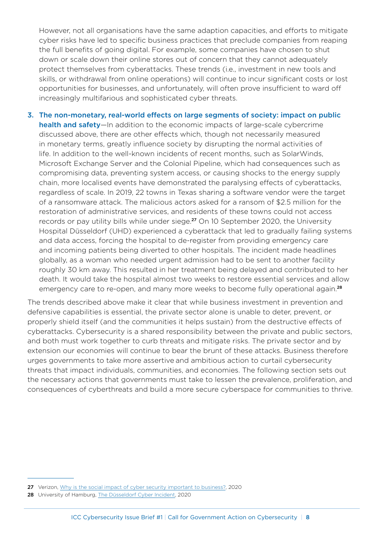However, not all organisations have the same adaption capacities, and efforts to mitigate cyber risks have led to specific business practices that preclude companies from reaping the full benefits of going digital. For example, some companies have chosen to shut down or scale down their online stores out of concern that they cannot adequately protect themselves from cyberattacks. These trends (i.e., investment in new tools and skills, or withdrawal from online operations) will continue to incur significant costs or lost opportunities for businesses, and unfortunately, will often prove insufficient to ward off increasingly multifarious and sophisticated cyber threats.

3. The non-monetary, real-world effects on large segments of society: impact on public health and safety—In addition to the economic impacts of large-scale cybercrime discussed above, there are other effects which, though not necessarily measured in monetary terms, greatly influence society by disrupting the normal activities of life. In addition to the well-known incidents of recent months, such as SolarWinds, Microsoft Exchange Server and the Colonial Pipeline, which had consequences such as compromising data, preventing system access, or causing shocks to the energy supply chain, more localised events have demonstrated the paralysing effects of cyberattacks, regardless of scale. In 2019, 22 towns in Texas sharing a software vendor were the target of a ransomware attack. The malicious actors asked for a ransom of \$2.5 million for the restoration of administrative services, and residents of these towns could not access records or pay utility bills while under siege.<sup>27</sup> On 10 September 2020, the University Hospital Düsseldorf (UHD) experienced a cyberattack that led to gradually failing systems and data access, forcing the hospital to de-register from providing emergency care and incoming patients being diverted to other hospitals. The incident made headlines globally, as a woman who needed urgent admission had to be sent to another facility roughly 30 km away. This resulted in her treatment being delayed and contributed to her death. It would take the hospital almost two weeks to restore essential services and allow emergency care to re-open, and many more weeks to become fully operational again.<sup>28</sup>

The trends described above make it clear that while business investment in prevention and defensive capabilities is essential, the private sector alone is unable to deter, prevent, or properly shield itself (and the communities it helps sustain) from the destructive effects of cyberattacks. Cybersecurity is a shared responsibility between the private and public sectors, and both must work together to curb threats and mitigate risks. The private sector and by extension our economies will continue to bear the brunt of these attacks. Business therefore urges governments to take more assertive and ambitious action to curtail cybersecurity threats that impact individuals, communities, and economies. The following section sets out the necessary actions that governments must take to lessen the prevalence, proliferation, and consequences of cyberthreats and build a more secure cyberspace for communities to thrive.

<sup>27</sup> Verizon, [Why is the social impact of cyber security important to business?,](https://enterprise.verizon.com/resources/articles/s/the-social-impact-of-cyber-security-attacks/) 2020

<sup>28</sup> University of Hamburg, [The Düsseldorf Cyber Incident](https://ifsh.de/en/news-detail/the-duesseldorf-cyber-incident), 2020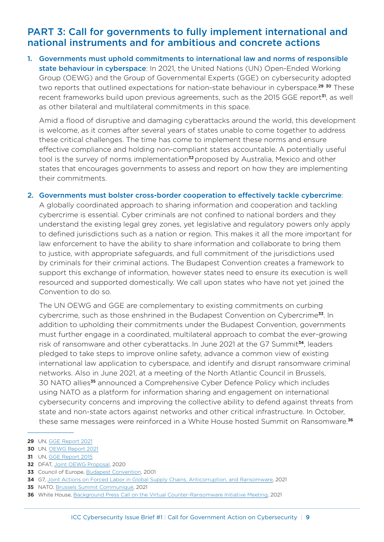#### <span id="page-8-0"></span>PART 3: Call for governments to fully implement international and national instruments and for ambitious and concrete actions

1. Governments must uphold commitments to international law and norms of responsible state behaviour in cyberspace: In 2021, the United Nations (UN) Open-Ended Working Group (OEWG) and the Group of Governmental Experts (GGE) on cybersecurity adopted two reports that outlined expectations for nation-state behaviour in cyberspace.<sup>29</sup> <sup>30</sup> These recent frameworks build upon previous agreements, such as the 2015 GGE report<sup>31</sup>, as well as other bilateral and multilateral commitments in this space.

Amid a flood of disruptive and damaging cyberattacks around the world, this development is welcome, as it comes after several years of states unable to come together to address these critical challenges. The time has come to implement these norms and ensure effective compliance and holding non-compliant states accountable. A potentially useful tool is the survey of norms implementation<sup>32</sup> proposed by Australia, Mexico and other states that encourages governments to assess and report on how they are implementing their commitments.

#### 2. Governments must bolster cross-border cooperation to effectively tackle cybercrime:

A globally coordinated approach to sharing information and cooperation and tackling cybercrime is essential. Cyber criminals are not confined to national borders and they understand the existing legal grey zones, yet legislative and regulatory powers only apply to defined jurisdictions such as a nation or region. This makes it all the more important for law enforcement to have the ability to share information and collaborate to bring them to justice, with appropriate safeguards, and full commitment of the jurisdictions used by criminals for their criminal actions. The Budapest Convention creates a framework to support this exchange of information, however states need to ensure its execution is well resourced and supported domestically. We call upon states who have not yet joined the Convention to do so.

The UN OEWG and GGE are complementary to existing commitments on curbing cybercrime, such as those enshrined in the Budapest Convention on Cybercrime<sup>33</sup>. In addition to upholding their commitments under the Budapest Convention, governments must further engage in a coordinated, multilateral approach to combat the ever-growing risk of ransomware and other cyberattacks. In June 2021 at the G7 Summit<sup>34</sup>, leaders pledged to take steps to improve online safety, advance a common view of existing international law application to cyberspace, and identify and disrupt ransomware criminal networks. Also in June 2021, at a meeting of the North Atlantic Council in Brussels, 30 NATO allies<sup>35</sup> announced a Comprehensive Cyber Defence Policy which includes using NATO as a platform for information sharing and engagement on international cybersecurity concerns and improving the collective ability to defend against threats from state and non-state actors against networks and other critical infrastructure. In October, these same messages were reinforced in a White House hosted Summit on Ransomware.<sup>36</sup>

32 DFAT, [Joint OEWG Proposal,](https://www.dfat.gov.au/sites/default/files/joint-oewg-proposal-survey-of-national-implementation-april-2020.pdf) 2020

- 35 NATO, [Brussels Summit Communiqué,](https://www.nato.int/cps/en/natohq/news_185000.htm?selectedLocale=en) 2021
- 36 White House, [Background Press Call on the Virtual Counter-Ransomware Initiative Meeting](https://www.whitehouse.gov/briefing-room/press-briefings/2021/10/13/background-press-call-on-the-virtual-counter-ransomware-initiative-meeting/), 2021

<sup>29</sup> UN, [GGE Report 2021](https://front.un-arm.org/wp-content/uploads/2021/08/A_76_135-2104030E-1.pdf)

<sup>30</sup> UN, [OEWG Report 2021](https://front.un-arm.org/wp-content/uploads/2021/03/Final-report-A-AC.290-2021-CRP.2.pdf)

<sup>31</sup> UN, [GGE Report 2015](https://undocs.org/A/70/174)

<sup>33</sup> Council of Europe, [Budapest Convention,](https://www.coe.int/en/web/cybercrime/the-budapest-convention) 2001

<sup>34</sup> G7, [Joint Actions on Forced Labor in Global Supply Chains, Anticorruption, and Ransomware,](https://www.whitehouse.gov/briefing-room/statements-releases/2021/06/13/fact-sheet-g7-to-announce-joint-actions-on-forced-labor-in-global-supply-chains-anticorruption-and-ransomware/) 2021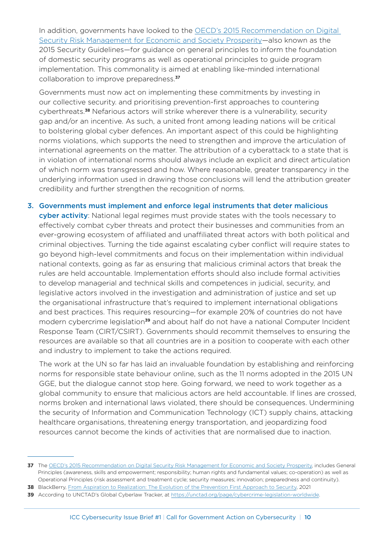In addition, governments have looked to the [OECD's 2015 Recommendation on Digital](https://www.oecd.org/digital/ieconomy/digital-security-risk-management.pdf)  [Security Risk Management for Economic and Society Prosperity](https://www.oecd.org/digital/ieconomy/digital-security-risk-management.pdf)—also known as the 2015 Security Guidelines—for guidance on general principles to inform the foundation of domestic security programs as well as operational principles to guide program implementation. This commonality is aimed at enabling like-minded international collaboration to improve preparedness.<sup>37</sup>

Governments must now act on implementing these commitments by investing in our collective security. and prioritising prevention-first approaches to countering cyberthreats.<sup>38</sup> Nefarious actors will strike wherever there is a vulnerability, security gap and/or an incentive. As such, a united front among leading nations will be critical to bolstering global cyber defences. An important aspect of this could be highlighting norms violations, which supports the need to strengthen and improve the articulation of international agreements on the matter. The attribution of a cyberattack to a state that is in violation of international norms should always include an explicit and direct articulation of which norm was transgressed and how. Where reasonable, greater transparency in the underlying information used in drawing those conclusions will lend the attribution greater credibility and further strengthen the recognition of norms.

3. Governments must implement and enforce legal instruments that deter malicious cyber activity: National legal regimes must provide states with the tools necessary to effectively combat cyber threats and protect their businesses and communities from an ever-growing ecosystem of affiliated and unaffiliated threat actors with both political and criminal objectives. Turning the tide against escalating cyber conflict will require states to go beyond high-level commitments and focus on their implementation within individual national contexts, going as far as ensuring that malicious criminal actors that break the rules are held accountable. Implementation efforts should also include formal activities to develop managerial and technical skills and competences in judicial, security, and legislative actors involved in the investigation and administration of justice and set up the organisational infrastructure that's required to implement international obligations and best practices. This requires resourcing—for example 20% of countries do not have modern cybercrime legislation<sup>39</sup> and about half do not have a national Computer Incident Response Team (CIRT/CSIRT). Governments should recommit themselves to ensuring the resources are available so that all countries are in a position to cooperate with each other and industry to implement to take the actions required.

The work at the UN so far has laid an invaluable foundation by establishing and reinforcing norms for responsible state behaviour online, such as the 11 norms adopted in the 2015 UN GGE, but the dialogue cannot stop here. Going forward, we need to work together as a global community to ensure that malicious actors are held accountable. If lines are crossed, norms broken and international laws violated, there should be consequences. Undermining the security of Information and Communication Technology (ICT) supply chains, attacking healthcare organisations, threatening energy transportation, and jeopardizing food resources cannot become the kinds of activities that are normalised due to inaction.

38 BlackBerry, [From Aspiration to Realization: The Evolution of the Prevention First Approach to Security,](https://blogs.blackberry.com/en/2021/01/from-aspiration-to-realization-the-evolution-of-the-prevention-first-approach-to-security) 2021

<sup>37</sup> The [OECD's 2015 Recommendation on Digital Security Risk Management for Economic and Society Prosperity,](https://www.oecd.org/digital/ieconomy/digital-security-risk-management.pdf) includes General Principles (awareness, skills and empowerment; responsibility; human rights and fundamental values; co-operation) as well as Operational Principles (risk assessment and treatment cycle; security measures; innovation; preparedness and continuity).

<sup>39</sup> According to UNCTAD's Global Cyberlaw Tracker, at [https://unctad.org/page/cybercrime-legislation-worldwide.](https://unctad.org/page/cybercrime-legislation-worldwide)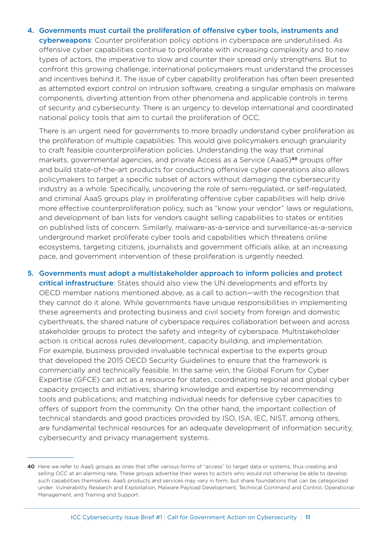4. Governments must curtail the proliferation of offensive cyber tools, instruments and cyberweapons: Counter proliferation policy options in cyberspace are underutilised. As offensive cyber capabilities continue to proliferate with increasing complexity and to new types of actors, the imperative to slow and counter their spread only strengthens. But to confront this growing challenge, international policymakers must understand the processes and incentives behind it. The issue of cyber capability proliferation has often been presented as attempted export control on intrusion software, creating a singular emphasis on malware components, diverting attention from other phenomena and applicable controls in terms of security and cybersecurity. There is an urgency to develop international and coordinated national policy tools that aim to curtail the proliferation of OCC.

There is an urgent need for governments to more broadly understand cyber proliferation as the proliferation of multiple capabilities. This would give policymakers enough granularity to craft feasible counterproliferation policies. Understanding the way that criminal markets, governmental agencies, and private Access as a Service (AaaS)<sup>40</sup> groups offer and build state-of-the-art products for conducting offensive cyber operations also allows policymakers to target a specific subset of actors without damaging the cybersecurity industry as a whole. Specifically, uncovering the role of semi-regulated, or self-regulated, and criminal AaaS groups play in proliferating offensive cyber capabilities will help drive more effective counterproliferation policy, such as "know your vendor" laws or regulations, and development of ban lists for vendors caught selling capabilities to states or entities on published lists of concern. Similarly, malware-as-a-service and surveillance-as-a-service underground market proliferate cyber tools and capabilities which threatens online ecosystems, targeting citizens, journalists and government officials alike, at an increasing pace, and government intervention of these proliferation is urgently needed.

5. Governments must adopt a multistakeholder approach to inform policies and protect critical infrastructure: States should also view the UN developments and efforts by OECD member nations mentioned above, as a call to action—with the recognition that they cannot do it alone. While governments have unique responsibilities in implementing these agreements and protecting business and civil society from foreign and domestic cyberthreats, the shared nature of cyberspace requires collaboration between and across stakeholder groups to protect the safety and integrity of cyberspace. Multistakeholder action is critical across rules development, capacity building, and implementation. For example, business provided invaluable technical expertise to the experts group that developed the 2015 OECD Security Guidelines to ensure that the framework is commercially and technically feasible. In the same vein, the Global Forum for Cyber Expertise (GFCE) can act as a resource for states, coordinating regional and global cyber capacity projects and initiatives; sharing knowledge and expertise by recommending tools and publications; and matching individual needs for defensive cyber capacities to offers of support from the community. On the other hand, the important collection of technical standards and good practices provided by ISO, ISA, IEC, NIST, among others, are fundamental technical resources for an adequate development of information security, cybersecurity and privacy management systems.

<sup>40</sup> Here we refer to AaaS groups as ones that offer various forms of "access" to target data or systems, thus creating and selling OCC at an alarming rate. These groups advertise their wares to actors who would not otherwise be able to develop such capabilities themselves. AaaS products and services may vary in form, but share foundations that can be categorized under: Vulnerability Research and Exploitation, Malware Payload Development, Technical Command and Control, Operational Management, and Training and Support.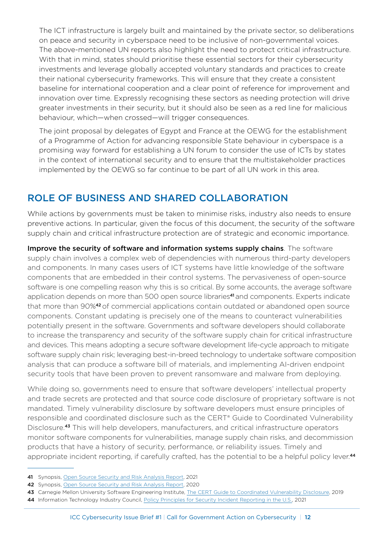<span id="page-11-0"></span>The ICT infrastructure is largely built and maintained by the private sector, so deliberations on peace and security in cyberspace need to be inclusive of non-governmental voices. The above-mentioned UN reports also highlight the need to protect critical infrastructure. With that in mind, states should prioritise these essential sectors for their cybersecurity investments and leverage globally accepted voluntary standards and practices to create their national cybersecurity frameworks. This will ensure that they create a consistent baseline for international cooperation and a clear point of reference for improvement and innovation over time. Expressly recognising these sectors as needing protection will drive greater investments in their security, but it should also be seen as a red line for malicious behaviour, which—when crossed—will trigger consequences.

The joint proposal by delegates of Egypt and France at the OEWG for the establishment of a Programme of Action for advancing responsible State behaviour in cyberspace is a promising way forward for establishing a UN forum to consider the use of ICTs by states in the context of international security and to ensure that the multistakeholder practices implemented by the OEWG so far continue to be part of all UN work in this area.

# ROLE OF BUSINESS AND SHARED COLLABORATION

While actions by governments must be taken to minimise risks, industry also needs to ensure preventive actions. In particular, given the focus of this document, the security of the software supply chain and critical infrastructure protection are of strategic and economic importance.

Improve the security of software and information systems supply chains. The software supply chain involves a complex web of dependencies with numerous third-party developers and components. In many cases users of ICT systems have little knowledge of the software components that are embedded in their control systems. The pervasiveness of open-source software is one compelling reason why this is so critical. By some accounts, the average software application depends on more than 500 open source libraries<sup>41</sup> and components. Experts indicate that more than 90%<sup>42</sup> of commercial applications contain outdated or abandoned open source components. Constant updating is precisely one of the means to counteract vulnerabilities potentially present in the software. Governments and software developers should collaborate to increase the transparency and security of the software supply chain for critical infrastructure and devices. This means adopting a secure software development life-cycle approach to mitigate software supply chain risk; leveraging best-in-breed technology to undertake software composition analysis that can produce a software bill of materials, and implementing AI-driven endpoint security tools that have been proven to prevent ransomware and malware from deploying.

While doing so, governments need to ensure that software developers' intellectual property and trade secrets are protected and that source code disclosure of proprietary software is not mandated. Timely vulnerability disclosure by software developers must ensure principles of responsible and coordinated disclosure such as the CERT® Guide to Coordinated Vulnerability Disclosure.<sup>43</sup> This will help developers, manufacturers, and critical infrastructure operators monitor software components for vulnerabilities, manage supply chain risks, and decommission products that have a history of security, performance, or reliability issues. Timely and appropriate incident reporting, if carefully crafted, has the potential to be a helpful policy lever.<sup>44</sup>

44 Information Technology Industry Council, [Policy Principles for Security Incident Reporting in the U.S.,](https://www.itic.org/documents/cybersecurity/ITIPolicyPrinciplesonSecurityIncidentReportingFINALJuly2021.pdf) 2021

<sup>41</sup> Synopsis, [Open Source Security and Risk Analysis Report](https://www.synopsys.com/software-integrity/resources/analyst-reports/open-source-security-risk-analysis.html), 2021

<sup>42</sup> Synopsis, [Open Source Security and Risk Analysis Report](https://www.synopsys.com/software-integrity/resources/analyst-reports/open-source-security-risk-analysis.html?cmp=pr-sig), 2020

<sup>43</sup> Carnegie Mellon University Software Engineering Institute, [The CERT Guide to Coordinated Vulnerability Disclosure](https://vuls.cert.org/confluence/display/CVD/The+CERT+Guide+to+Coordinated+Vulnerability+Disclosure), 2019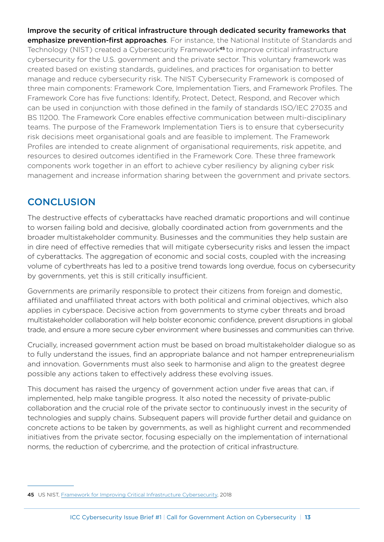<span id="page-12-0"></span>Improve the security of critical infrastructure through dedicated security frameworks that emphasize prevention-first approaches. For instance, the National Institute of Standards and Technology (NIST) created a Cybersecurity Framework<sup>45</sup> to improve critical infrastructure cybersecurity for the U.S. government and the private sector. This voluntary framework was created based on existing standards, guidelines, and practices for organisation to better manage and reduce cybersecurity risk. The NIST Cybersecurity Framework is composed of three main components: Framework Core, Implementation Tiers, and Framework Profiles. The Framework Core has five functions: Identify, Protect, Detect, Respond, and Recover which can be used in conjunction with those defined in the family of standards ISO/IEC 27035 and BS 11200. The Framework Core enables effective communication between multi-disciplinary teams. The purpose of the Framework Implementation Tiers is to ensure that cybersecurity risk decisions meet organisational goals and are feasible to implement. The Framework Profiles are intended to create alignment of organisational requirements, risk appetite, and resources to desired outcomes identified in the Framework Core. These three framework components work together in an effort to achieve cyber resiliency by aligning cyber risk management and increase information sharing between the government and private sectors.

# **CONCLUSION**

The destructive effects of cyberattacks have reached dramatic proportions and will continue to worsen failing bold and decisive, globally coordinated action from governments and the broader multistakeholder community. Businesses and the communities they help sustain are in dire need of effective remedies that will mitigate cybersecurity risks and lessen the impact of cyberattacks. The aggregation of economic and social costs, coupled with the increasing volume of cyberthreats has led to a positive trend towards long overdue, focus on cybersecurity by governments, yet this is still critically insufficient.

Governments are primarily responsible to protect their citizens from foreign and domestic, affiliated and unaffiliated threat actors with both political and criminal objectives, which also applies in cyberspace. Decisive action from governments to styme cyber threats and broad multistakeholder collaboration will help bolster economic confidence, prevent disruptions in global trade, and ensure a more secure cyber environment where businesses and communities can thrive.

Crucially, increased government action must be based on broad multistakeholder dialogue so as to fully understand the issues, find an appropriate balance and not hamper entrepreneurialism and innovation. Governments must also seek to harmonise and align to the greatest degree possible any actions taken to effectively address these evolving issues.

This document has raised the urgency of government action under five areas that can, if implemented, help make tangible progress. It also noted the necessity of private-public collaboration and the crucial role of the private sector to continuously invest in the security of technologies and supply chains. Subsequent papers will provide further detail and guidance on concrete actions to be taken by governments, as well as highlight current and recommended initiatives from the private sector, focusing especially on the implementation of international norms, the reduction of cybercrime, and the protection of critical infrastructure.

<sup>45</sup> US NIST, [Framework for Improving Critical Infrastructure Cybersecurity,](https://nvlpubs.nist.gov/nistpubs/CSWP/NIST.CSWP.04162018.pdf) 2018